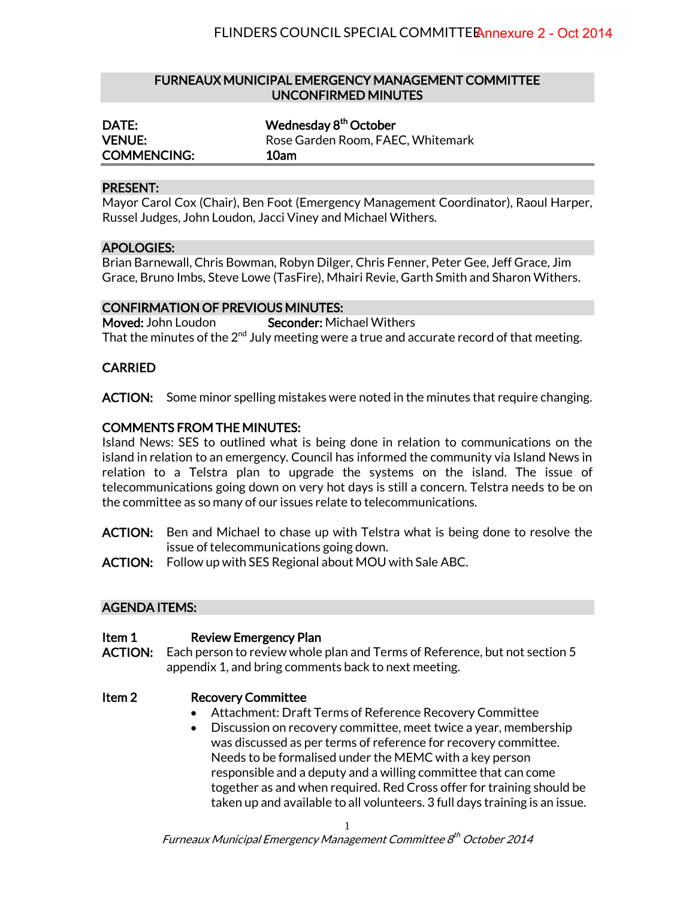### FURNEAUX MUNICIPAL EMERGENCY MANAGEMENT COMMITTEE UNCONFIRMED MINUTES

| <b>DATE:</b>       | Wednesday 8 <sup>th</sup> October |
|--------------------|-----------------------------------|
| <b>VENUE:</b>      | Rose Garden Room, FAEC, Whitemark |
| <b>COMMENCING:</b> | 10am                              |

#### PRESENT:

Mayor Carol Cox (Chair), Ben Foot (Emergency Management Coordinator), Raoul Harper, Russel Judges, John Loudon, Jacci Viney and Michael Withers.

## APOLOGIES:

Brian Barnewall, Chris Bowman, Robyn Dilger, Chris Fenner, Peter Gee, Jeff Grace, Jim Grace, Bruno Imbs, Steve Lowe (TasFire), Mhairi Revie, Garth Smith and Sharon Withers.

## CONFIRMATION OF PREVIOUS MINUTES:

Moved: John Loudon Seconder: Michael Withers That the minutes of the  $2^{nd}$  July meeting were a true and accurate record of that meeting.

# CARRIED

ACTION: Some minor spelling mistakes were noted in the minutes that require changing.

## COMMENTS FROM THE MINUTES:

Island News: SES to outlined what is being done in relation to communications on the island in relation to an emergency. Council has informed the community via Island News in relation to a Telstra plan to upgrade the systems on the island. The issue of telecommunications going down on very hot days is still a concern. Telstra needs to be on the committee as so many of our issues relate to telecommunications.

- ACTION: Ben and Michael to chase up with Telstra what is being done to resolve the issue of telecommunications going down.
- ACTION: Follow up with SES Regional about MOU with Sale ABC.

## AGENDA ITEMS:

#### Item 1 Review Emergency Plan

ACTION: Each person to review whole plan and Terms of Reference, but not section 5 appendix 1, and bring comments back to next meeting.

#### Item 2 Recovery Committee

- Attachment: Draft Terms of Reference Recovery Committee
- Discussion on recovery committee, meet twice a year, membership was discussed as per terms of reference for recovery committee. Needs to be formalised under the MEMC with a key person responsible and a deputy and a willing committee that can come together as and when required. Red Cross offer for training should be taken up and available to all volunteers. 3 full days training is an issue.